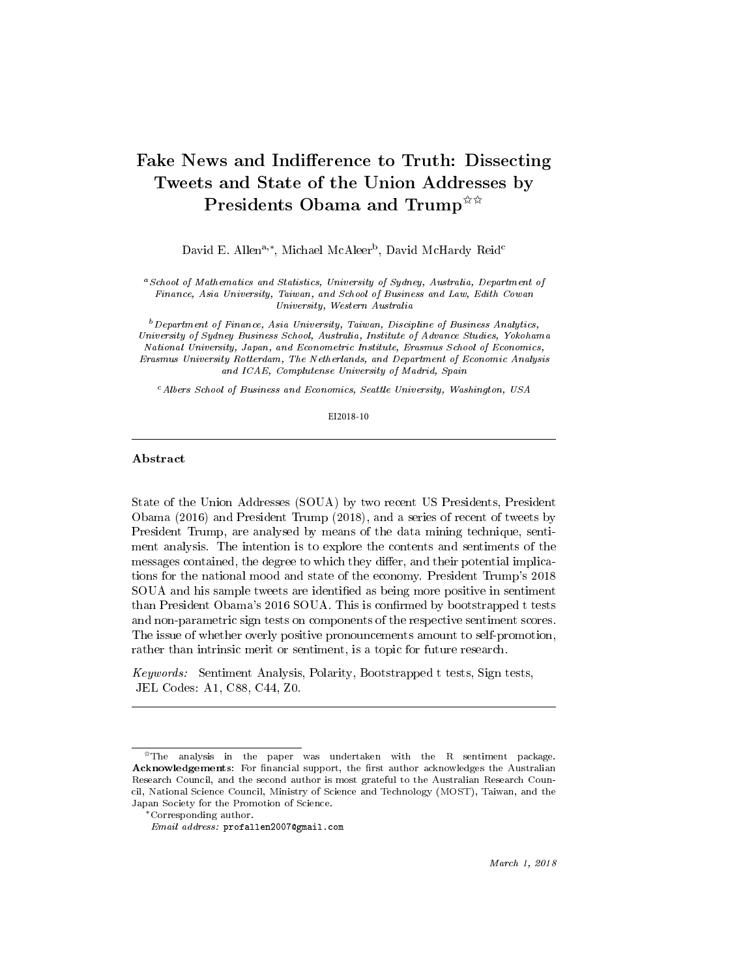# Fake News and Indifference to Truth: Dissecting Tweets and State of the Union Addresses by Presidents Obama and Trump<sup> $\forall x$ </sup>

David E. Allen<sup>a,\*</sup>, Michael McAleer<sup>b</sup>, David McHardy Reid<sup>c</sup>

<sup>a</sup>School of Mathematics and Statistics, University of Sydney, Australia, Department of Finance, Asia University, Taiwan, and School of Business and Law, Edith Cowan University, Western Australia

 $^b$  Department of Finance, Asia University, Taiwan, Discipline of Business Analytics, University of Sydney Business School, Australia, Institute of Advance Studies, Yokohama National University, Japan, and Econometric Institute, Erasmus School of Economics, Erasmus University Rotterdam, The Netherlands, and Department of Economic Analysis and ICAE, Complutense University of Madrid, Spain

<sup>c</sup>Albers School of Business and Economics, Seattle University, Washington, USA

EI2018-10

## Abstract

State of the Union Addresses (SOUA) by two recent US Presidents, President Obama (2016) and President Trump (2018), and a series of recent of tweets by President Trump, are analysed by means of the data mining technique, sentiment analysis. The intention is to explore the contents and sentiments of the messages contained, the degree to which they differ, and their potential implications for the national mood and state of the economy. President Trump's 2018 SOUA and his sample tweets are identified as being more positive in sentiment than President Obama's 2016 SOUA. This is confirmed by bootstrapped t tests and non-parametric sign tests on components of the respective sentiment scores. The issue of whether overly positive pronouncements amount to self-promotion, rather than intrinsic merit or sentiment, is a topic for future research.

Keywords: Sentiment Analysis, Polarity, Bootstrapped t tests, Sign tests, JEL Codes: A1, C88, C44, Z0.

 $*$ The analysis in the paper was undertaken with the R sentiment package. Acknowledgements: For financial support, the first author acknowledges the Australian Research Council, and the second author is most grateful to the Australian Research Council, National Science Council, Ministry of Science and Technology (MOST), Taiwan, and the Japan Society for the Promotion of Science.

<sup>∗</sup>Corresponding author.

 $Email \ address: \ \texttt{profallen20070gmail.com}$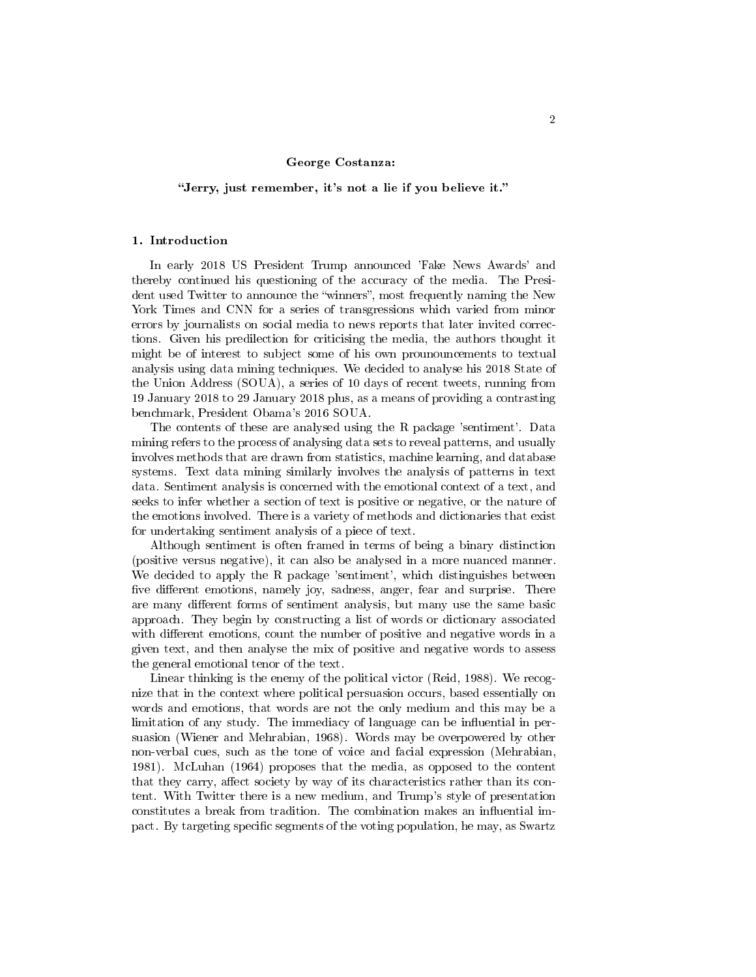## George Costanza:

## Jerry, just remember, it's not a lie if you believe it.

#### 1. Introduction

In early 2018 US President Trump announced 'Fake News Awards' and thereby continued his questioning of the accuracy of the media. The President used Twitter to announce the "winners", most frequently naming the New York Times and CNN for a series of transgressions which varied from minor errors by journalists on social media to news reports that later invited corrections. Given his predilection for criticising the media, the authors thought it might be of interest to subject some of his own prounouncements to textual analysis using data mining techniques. We decided to analyse his 2018 State of the Union Address (SOUA), a series of 10 days of recent tweets, running from 19 January 2018 to 29 January 2018 plus, as a means of providing a contrasting benchmark, President Obama's 2016 SOUA.

The contents of these are analysed using the R package 'sentiment'. Data mining refers to the process of analysing data sets to reveal patterns, and usually involves methods that are drawn from statistics, machine learning, and database systems. Text data mining similarly involves the analysis of patterns in text data. Sentiment analysis is concerned with the emotional context of a text, and seeks to infer whether a section of text is positive or negative, or the nature of the emotions involved. There is a variety of methods and dictionaries that exist for undertaking sentiment analysis of a piece of text.

Although sentiment is often framed in terms of being a binary distinction (positive versus negative), it can also be analysed in a more nuanced manner. We decided to apply the R package 'sentiment', which distinguishes between five different emotions, namely joy, sadness, anger, fear and surprise. There are many different forms of sentiment analysis, but many use the same basic approach. They begin by constructing a list of words or dictionary associated with different emotions, count the number of positive and negative words in a given text, and then analyse the mix of positive and negative words to assess the general emotional tenor of the text.

Linear thinking is the enemy of the political victor (Reid, 1988). We recognize that in the context where political persuasion occurs, based essentially on words and emotions, that words are not the only medium and this may be a limitation of any study. The immediacy of language can be influential in persuasion (Wiener and Mehrabian, 1968). Words may be overpowered by other non-verbal cues, such as the tone of voice and facial expression (Mehrabian, 1981). McLuhan (1964) proposes that the media, as opposed to the content that they carry, affect society by way of its characteristics rather than its content. With Twitter there is a new medium, and Trump's style of presentation constitutes a break from tradition. The combination makes an influential impact. By targeting specific segments of the voting population, he may, as Swartz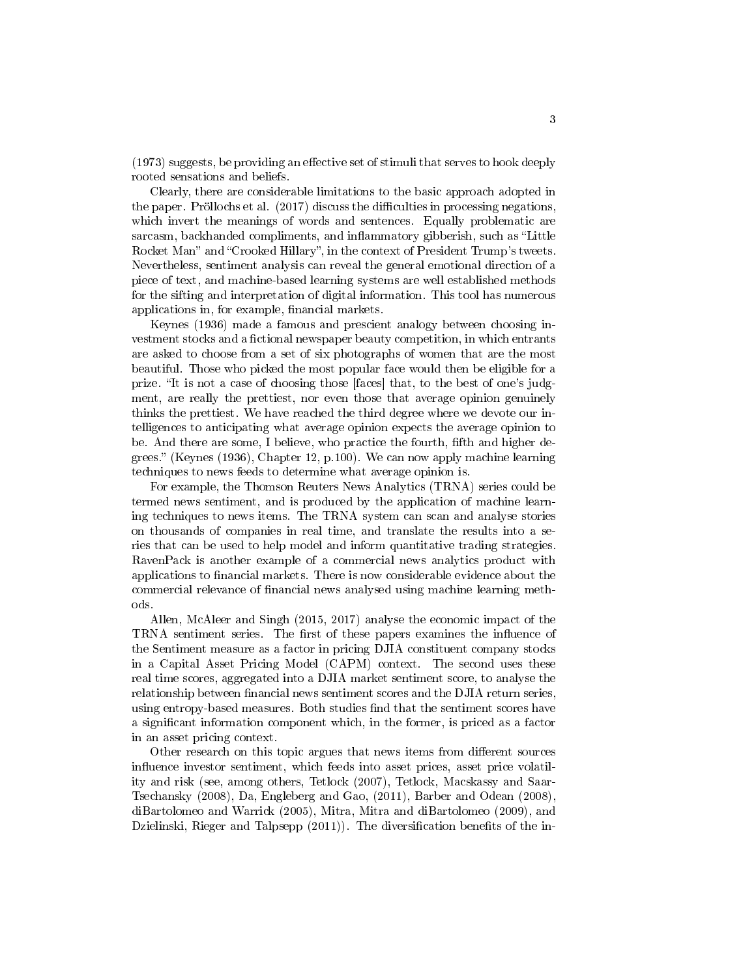$(1973)$  suggests, be providing an effective set of stimuli that serves to hook deeply rooted sensations and beliefs.

Clearly, there are considerable limitations to the basic approach adopted in the paper. Pröllochs et al.  $(2017)$  discuss the difficulties in processing negations, which invert the meanings of words and sentences. Equally problematic are sarcasm, backhanded compliments, and inflammatory gibberish, such as "Little Rocket Man" and "Crooked Hillary", in the context of President Trump's tweets. Nevertheless, sentiment analysis can reveal the general emotional direction of a piece of text, and machine-based learning systems are well established methods for the sifting and interpretation of digital information. This tool has numerous applications in, for example, financial markets.

Keynes (1936) made a famous and prescient analogy between choosing investment stocks and a fictional newspaper beauty competition, in which entrants are asked to choose from a set of six photographs of women that are the most beautiful. Those who picked the most popular face would then be eligible for a prize. It is not a case of choosing those [faces] that, to the best of one's judgment, are really the prettiest, nor even those that average opinion genuinely thinks the prettiest. We have reached the third degree where we devote our intelligences to anticipating what average opinion expects the average opinion to be. And there are some, I believe, who practice the fourth, fth and higher degrees." (Keynes (1936), Chapter 12, p.100). We can now apply machine learning techniques to news feeds to determine what average opinion is.

For example, the Thomson Reuters News Analytics (TRNA) series could be termed news sentiment, and is produced by the application of machine learning techniques to news items. The TRNA system can scan and analyse stories on thousands of companies in real time, and translate the results into a series that can be used to help model and inform quantitative trading strategies. RavenPack is another example of a commercial news analytics product with applications to financial markets. There is now considerable evidence about the commercial relevance of financial news analysed using machine learning methods.

Allen, McAleer and Singh (2015, 2017) analyse the economic impact of the TRNA sentiment series. The first of these papers examines the influence of the Sentiment measure as a factor in pricing DJIA constituent company stocks in a Capital Asset Pricing Model (CAPM) context. The second uses these real time scores, aggregated into a DJIA market sentiment score, to analyse the relationship between financial news sentiment scores and the DJIA return series, using entropy-based measures. Both studies find that the sentiment scores have a signicant information component which, in the former, is priced as a factor in an asset pricing context.

Other research on this topic argues that news items from different sources influence investor sentiment, which feeds into asset prices, asset price volatility and risk (see, among others, Tetlock (2007), Tetlock, Macskassy and Saar-Tsechansky (2008), Da, Engleberg and Gao, (2011), Barber and Odean (2008), diBartolomeo and Warrick (2005), Mitra, Mitra and diBartolomeo (2009), and Dzielinski, Rieger and Talpsepp  $(2011)$ ). The diversification benefits of the in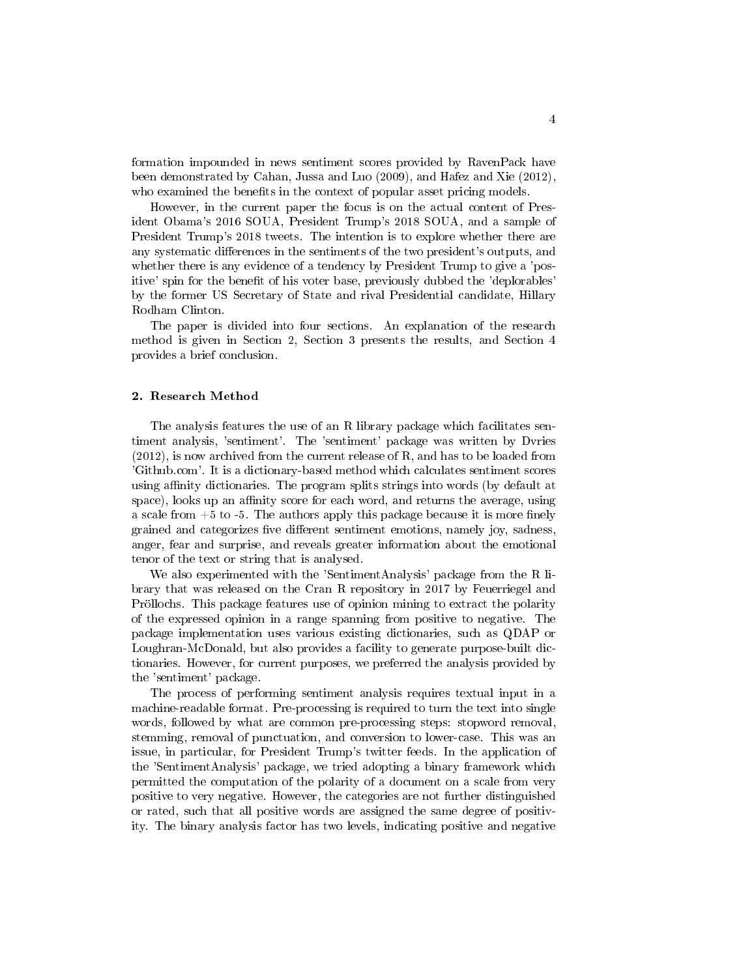formation impounded in news sentiment scores provided by RavenPack have been demonstrated by Cahan, Jussa and Luo (2009), and Hafez and Xie (2012), who examined the benefits in the context of popular asset pricing models.

However, in the current paper the focus is on the actual content of President Obama's 2016 SOUA, President Trump's 2018 SOUA, and a sample of President Trump's 2018 tweets. The intention is to explore whether there are any systematic differences in the sentiments of the two president's outputs, and whether there is any evidence of a tendency by President Trump to give a 'positive' spin for the benefit of his voter base, previously dubbed the 'deplorables' by the former US Secretary of State and rival Presidential candidate, Hillary Rodham Clinton.

The paper is divided into four sections. An explanation of the research method is given in Section 2, Section 3 presents the results, and Section 4 provides a brief conclusion.

#### 2. Research Method

The analysis features the use of an R library package which facilitates sentiment analysis, 'sentiment'. The 'sentiment' package was written by Dvries (2012), is now archived from the current release of R, and has to be loaded from 'Github.com'. It is a dictionary-based method which calculates sentiment scores using affinity dictionaries. The program splits strings into words (by default at space), looks up an affinity score for each word, and returns the average, using a scale from  $+5$  to  $-5$ . The authors apply this package because it is more finely grained and categorizes five different sentiment emotions, namely joy, sadness, anger, fear and surprise, and reveals greater information about the emotional tenor of the text or string that is analysed.

We also experimented with the 'SentimentAnalysis' package from the R library that was released on the Cran R repository in 2017 by Feuerriegel and Pröllochs. This package features use of opinion mining to extract the polarity of the expressed opinion in a range spanning from positive to negative. The package implementation uses various existing dictionaries, such as QDAP or Loughran-McDonald, but also provides a facility to generate purpose-built dictionaries. However, for current purposes, we preferred the analysis provided by the 'sentiment' package.

The process of performing sentiment analysis requires textual input in a machine-readable format. Pre-processing is required to turn the text into single words, followed by what are common pre-processing steps: stopword removal, stemming, removal of punctuation, and conversion to lower-case. This was an issue, in particular, for President Trump's twitter feeds. In the application of the 'SentimentAnalysis' package, we tried adopting a binary framework which permitted the computation of the polarity of a document on a scale from very positive to very negative. However, the categories are not further distinguished or rated, such that all positive words are assigned the same degree of positivity. The binary analysis factor has two levels, indicating positive and negative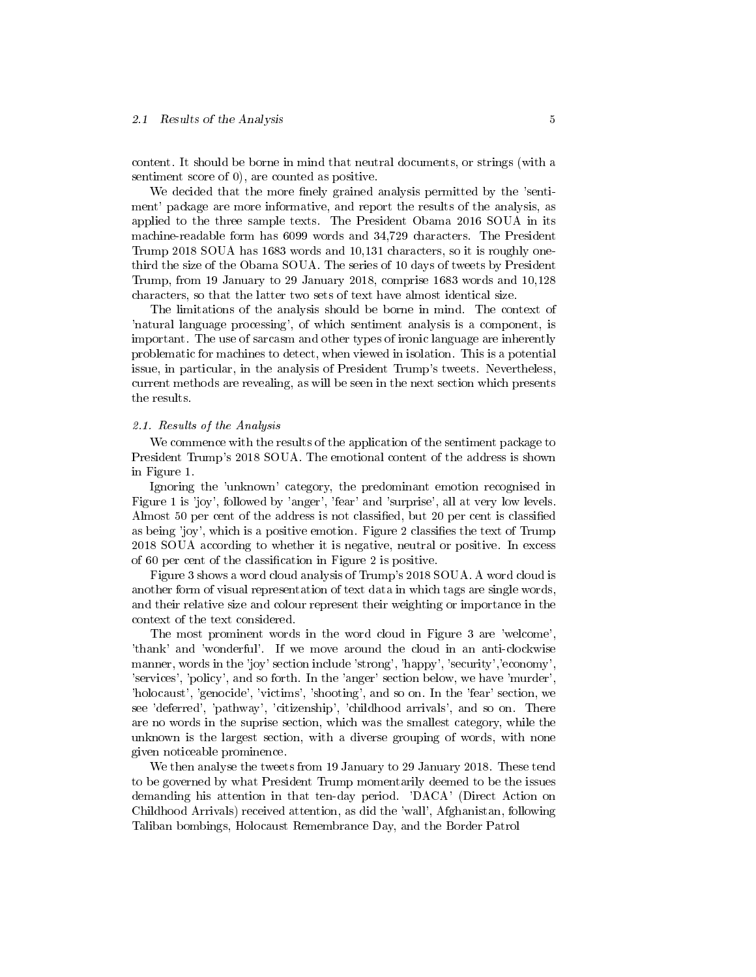#### 2.1 Results of the Analysis 5

content. It should be borne in mind that neutral documents, or strings (with a sentiment score of 0), are counted as positive.

We decided that the more finely grained analysis permitted by the 'sentiment' package are more informative, and report the results of the analysis, as applied to the three sample texts. The President Obama 2016 SOUA in its machine-readable form has 6099 words and 34,729 characters. The President Trump 2018 SOUA has 1683 words and 10,131 characters, so it is roughly onethird the size of the Obama SOUA. The series of 10 days of tweets by President Trump, from 19 January to 29 January 2018, comprise 1683 words and 10,128 characters, so that the latter two sets of text have almost identical size.

The limitations of the analysis should be borne in mind. The context of 'natural language processing', of which sentiment analysis is a component, is important. The use of sarcasm and other types of ironic language are inherently problematic for machines to detect, when viewed in isolation. This is a potential issue, in particular, in the analysis of President Trump's tweets. Nevertheless, current methods are revealing, as will be seen in the next section which presents the results.

## 2.1. Results of the Analysis

We commence with the results of the application of the sentiment package to President Trump's 2018 SOUA. The emotional content of the address is shown in Figure 1.

Ignoring the 'unknown' category, the predominant emotion recognised in Figure 1 is 'joy', followed by 'anger', 'fear' and 'surprise', all at very low levels. Almost 50 per cent of the address is not classified, but 20 per cent is classified as being 'joy', which is a positive emotion. Figure 2 classifies the text of  $T$ rump 2018 SOUA according to whether it is negative, neutral or positive. In excess of 60 per cent of the classification in Figure 2 is positive.

Figure 3 shows a word cloud analysis of Trump's 2018 SOUA. A word cloud is another form of visual representation of text data in which tags are single words, and their relative size and colour represent their weighting or importance in the context of the text considered.

The most prominent words in the word cloud in Figure 3 are 'welcome', 'thank' and 'wonderful'. If we move around the cloud in an anti-clockwise manner, words in the 'joy' section include 'strong', 'happy', 'security', 'economy', 'services', 'policy', and so forth. In the 'anger' section below, we have 'murder', 'holocaust', 'genocide', 'victims', 'shooting', and so on. In the 'fear' section, we see 'deferred', 'pathway', 'citizenship', 'childhood arrivals', and so on. There are no words in the suprise section, which was the smallest category, while the unknown is the largest section, with a diverse grouping of words, with none given noticeable prominence.

We then analyse the tweets from 19 January to 29 January 2018. These tend to be governed by what President Trump momentarily deemed to be the issues demanding his attention in that ten-day period. 'DACA' (Direct Action on Childhood Arrivals) received attention, as did the 'wall', Afghanistan, following Taliban bombings, Holocaust Remembrance Day, and the Border Patrol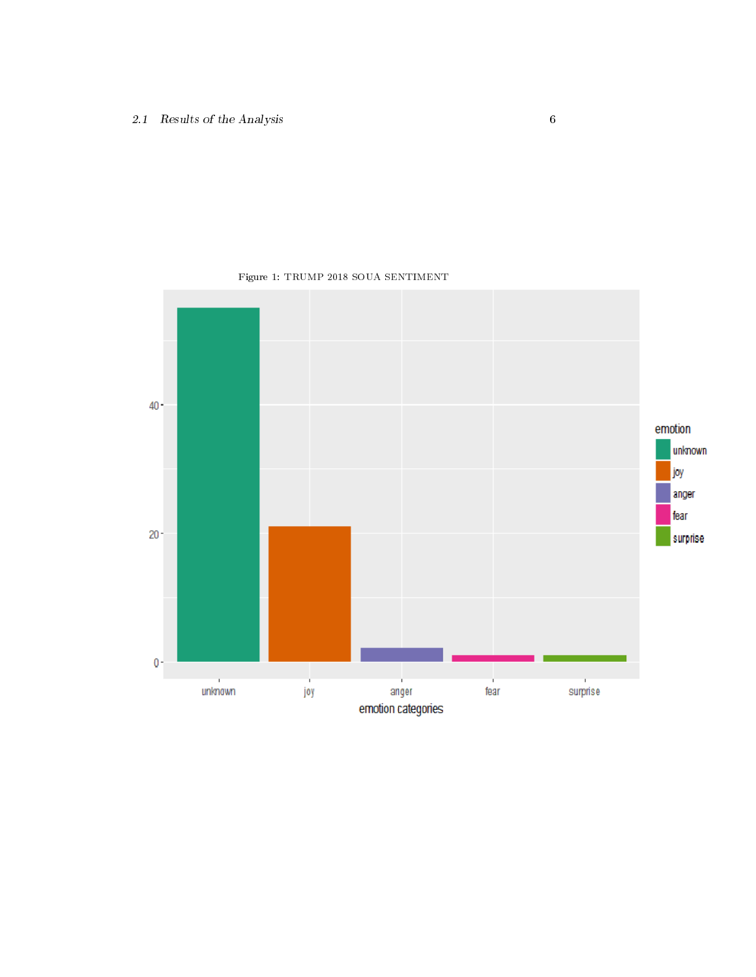

Figure 1: TRUMP 2018 SOUA SENTIMENT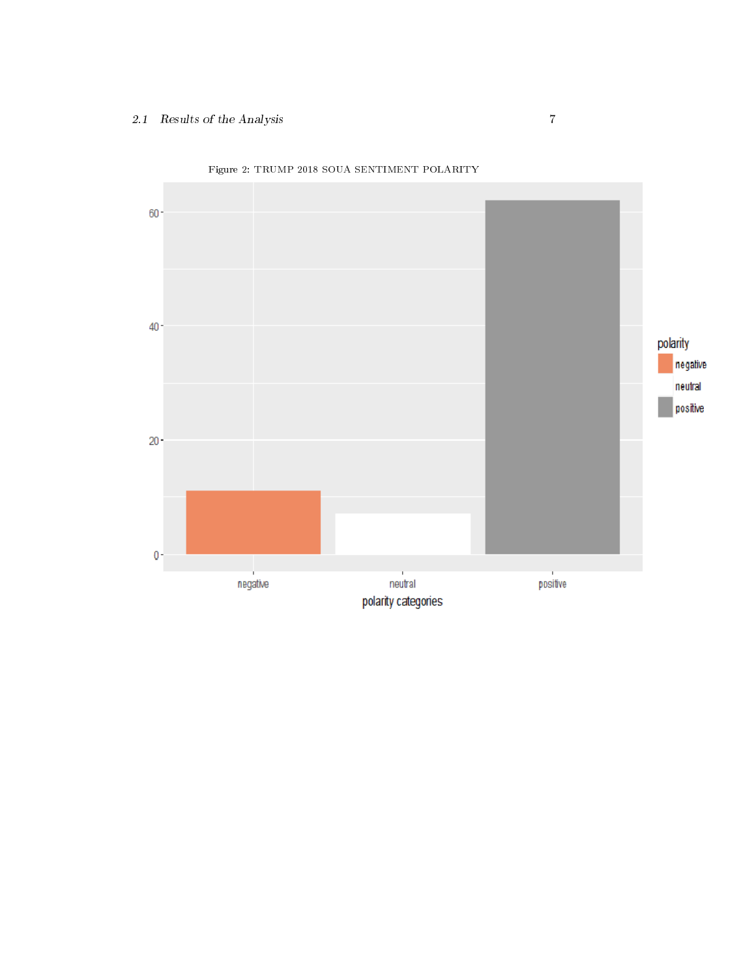## 2.1 Results of the Analysis 7



Figure 2: TRUMP 2018 SOUA SENTIMENT POLARITY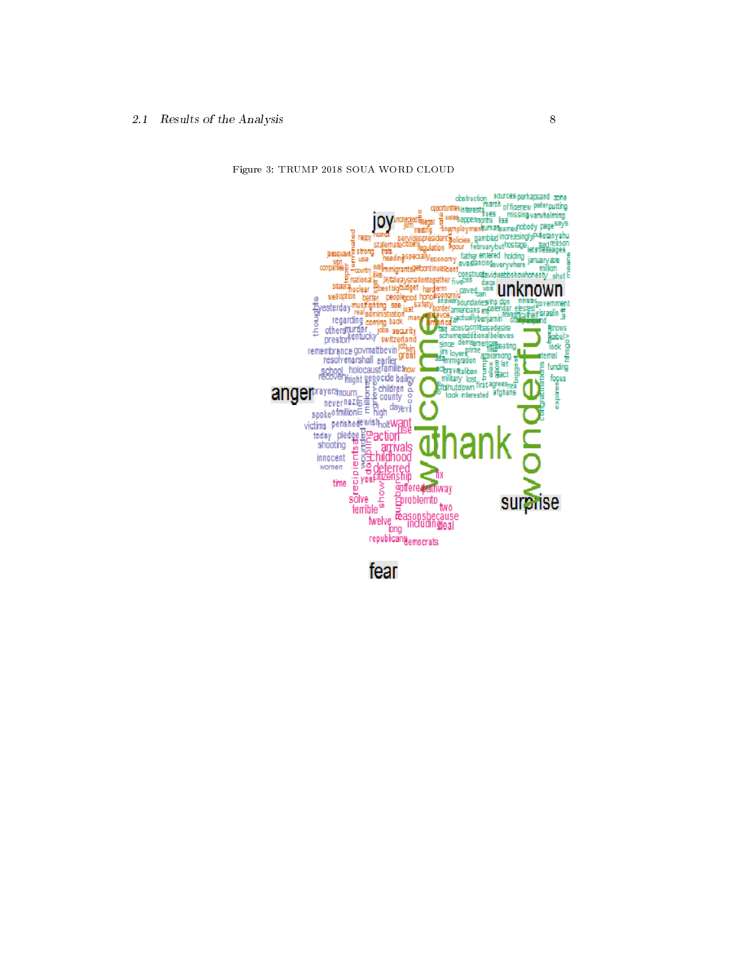obstruction sources perhapsand zone<br>mittesinterest\$ves march officenew peterputting<br>swissnappennonths isa a comparison and a comparison and a minimizer of the minimizer of the minimizer of the minimizer of the minimizer of the minimizer of the minimizer of the minimizer of the minimizer of the minimizer of the minimizer of the onting and a president of the set of the set of the set of the set of the set of the set of the set of the set of the set of the set of the set of the set of the set of the set of the set of the set of the set of the set o well option<br>
System of the people control of the state of the state of the state of the state of the state of the state of the control of the control of the control of the control of the control of the control of the contr **A**mows  $\begin{array}{r}\n\text{Sabul}\n\geq 0 \\
\text{Iodk}\n\text{on}\n\end{array}$ restortenuoch switzerland<br>
remetrance governmente in the school<br>
resolven arshall e principale<br>
school holocaustramies<br>
recover hight senocide balley<br>
reversing the county<br>
never milion E E high days of<br>
spoke of milion E e<br>E funding fous<br>capitals military lost  $\frac{1}{r}$  military lost  $\frac{1}{r}$  military lost  $\frac{1}{r}$  military lost military military military military military military military military military military military military military military military m еñ dook interested afghans spoke<br>victins perishedewish<br>to the perishedewish of way<br>shooting the angle and shooting<br>innocent the second model<br>innocent the second model<br>women the second period women time E<br>Solve<br>Solve<br>Solve<br>Territories<br>Solve<br>Solve<br>Solve<br>Solve<br>Solve<br>Solve<br>Solve<br>Solve<br>Solve<br>Territories ooffered athway surprise two ible " = two<br>twelve reasonsbecause<br>twelve includingleal<br>republicanaemocrats

Figure 3: TRUMP 2018 SOUA WORD CLOUD

fear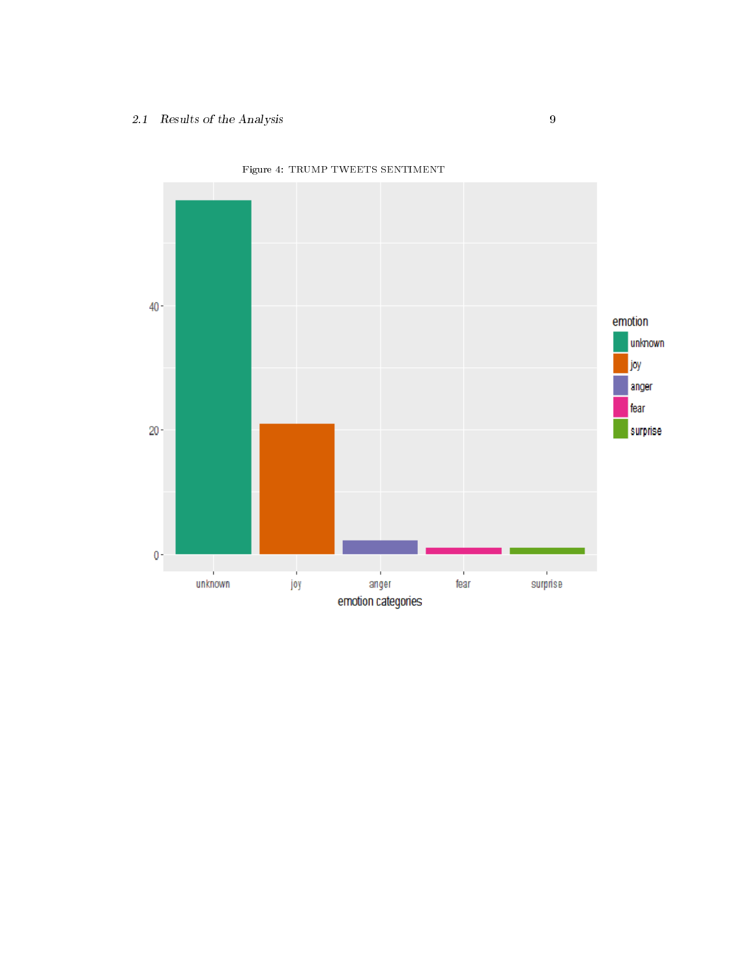

Figure 4: TRUMP TWEETS SENTIMENT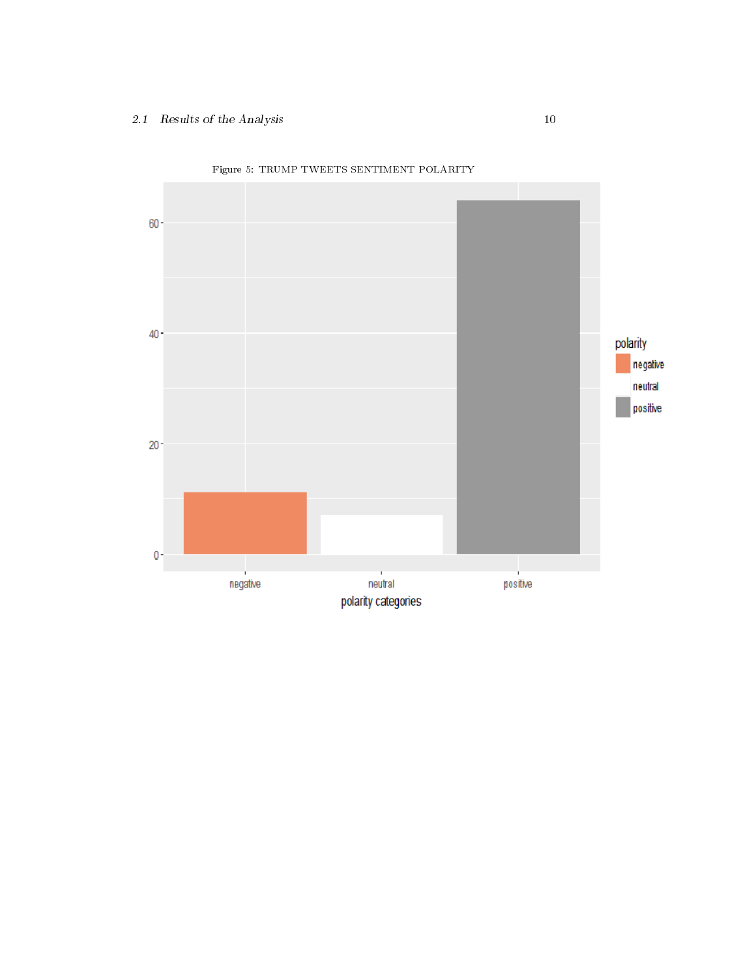

Figure 5: TRUMP TWEETS SENTIMENT POLARITY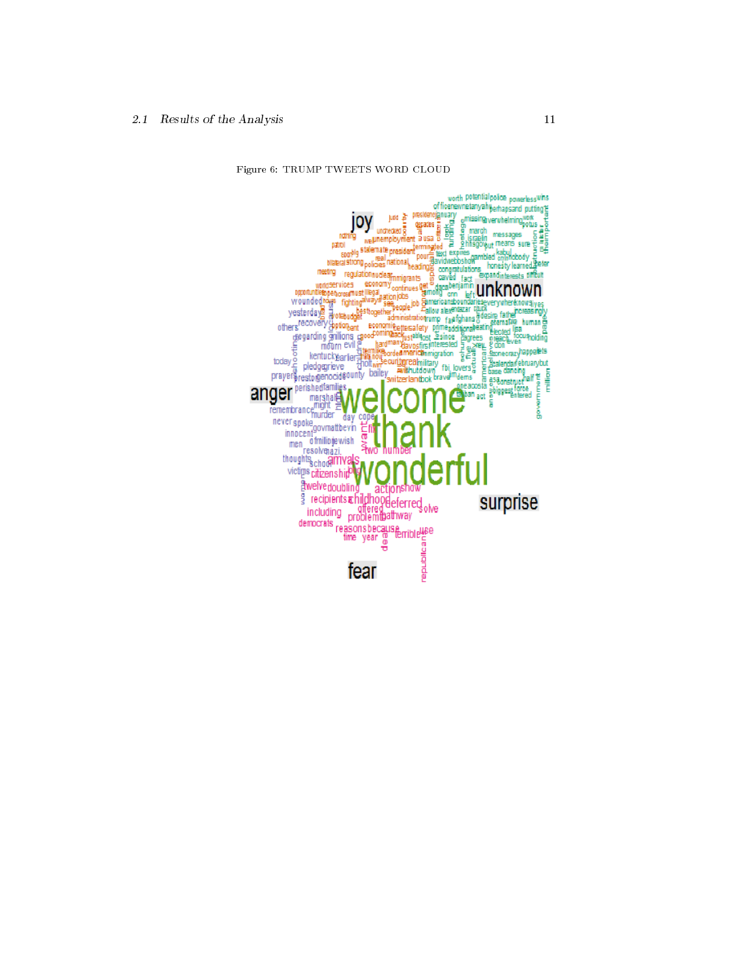#### Figure 6: TRUMP TWEETS WORD CLOUD

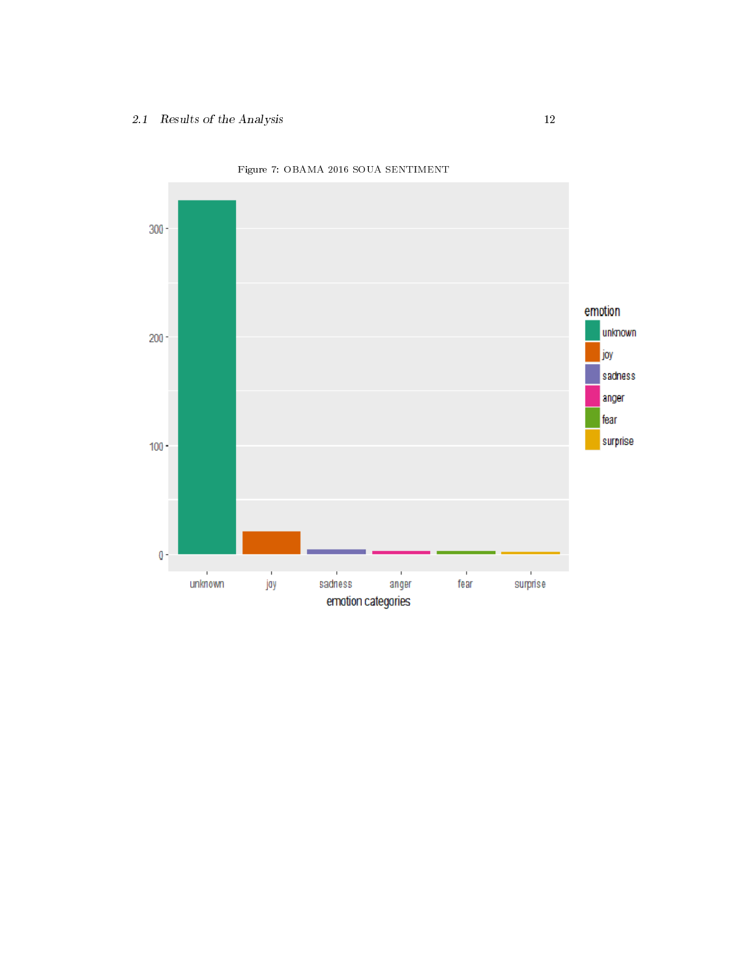

Figure 7: OBAMA 2016 SOUA SENTIMENT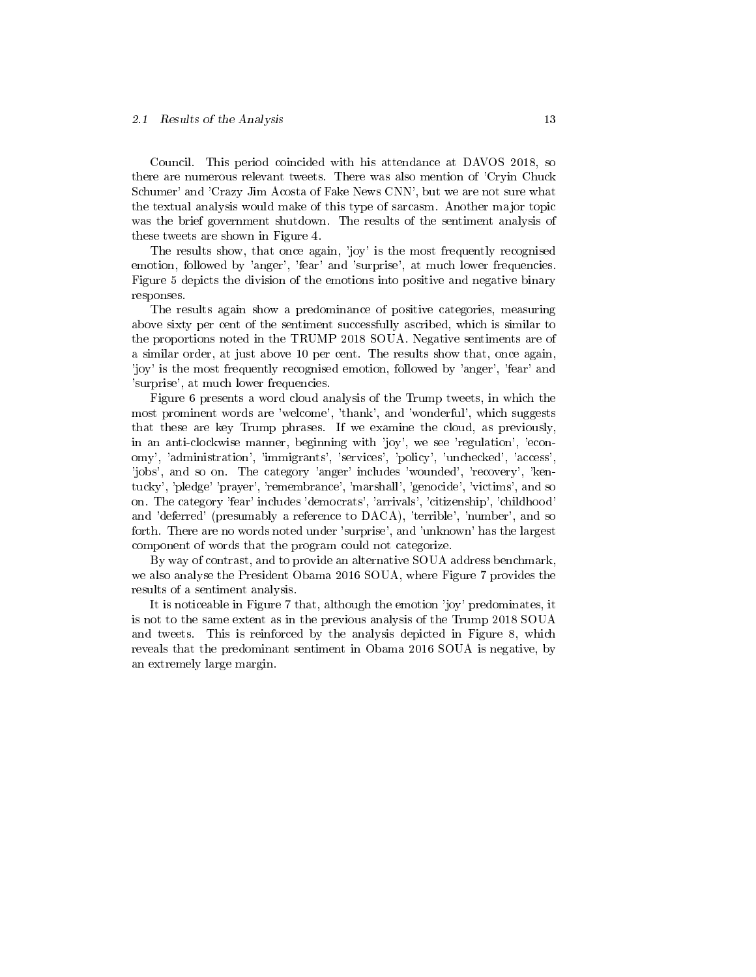#### 2.1 Results of the Analysis 13

Council. This period coincided with his attendance at DAVOS 2018, so there are numerous relevant tweets. There was also mention of 'Cryin Chuck Schumer' and 'Crazy Jim Acosta of Fake News CNN', but we are not sure what the textual analysis would make of this type of sarcasm. Another major topic was the brief government shutdown. The results of the sentiment analysis of these tweets are shown in Figure 4.

The results show, that once again, 'joy' is the most frequently recognised emotion, followed by 'anger', 'fear' and 'surprise', at much lower frequencies. Figure 5 depicts the division of the emotions into positive and negative binary responses.

The results again show a predominance of positive categories, measuring above sixty per cent of the sentiment successfully ascribed, which is similar to the proportions noted in the TRUMP 2018 SOUA. Negative sentiments are of a similar order, at just above 10 per cent. The results show that, once again, 'joy' is the most frequently recognised emotion, followed by 'anger', 'fear' and 'surprise', at much lower frequencies.

Figure 6 presents a word cloud analysis of the Trump tweets, in which the most prominent words are 'welcome', 'thank', and 'wonderful', which suggests that these are key Trump phrases. If we examine the cloud, as previously, in an anti-clockwise manner, beginning with 'joy', we see 'regulation', 'economy', 'administration', 'immigrants', 'services', 'policy', 'unchecked', 'access', 'jobs', and so on. The category 'anger' includes 'wounded', 'recovery', 'kentucky', 'pledge' 'prayer', 'remembrance', 'marshall', 'genocide', 'victims', and so on. The category 'fear' includes 'democrats', 'arrivals', 'citizenship', 'childhood' and 'deferred' (presumably a reference to DACA), 'terrible', 'number', and so forth. There are no words noted under 'surprise', and 'unknown' has the largest component of words that the program could not categorize.

By way of contrast, and to provide an alternative SOUA address benchmark, we also analyse the President Obama 2016 SOUA, where Figure 7 provides the results of a sentiment analysis.

It is noticeable in Figure 7 that, although the emotion 'joy' predominates, it is not to the same extent as in the previous analysis of the Trump 2018 SOUA and tweets. This is reinforced by the analysis depicted in Figure 8, which reveals that the predominant sentiment in Obama 2016 SOUA is negative, by an extremely large margin.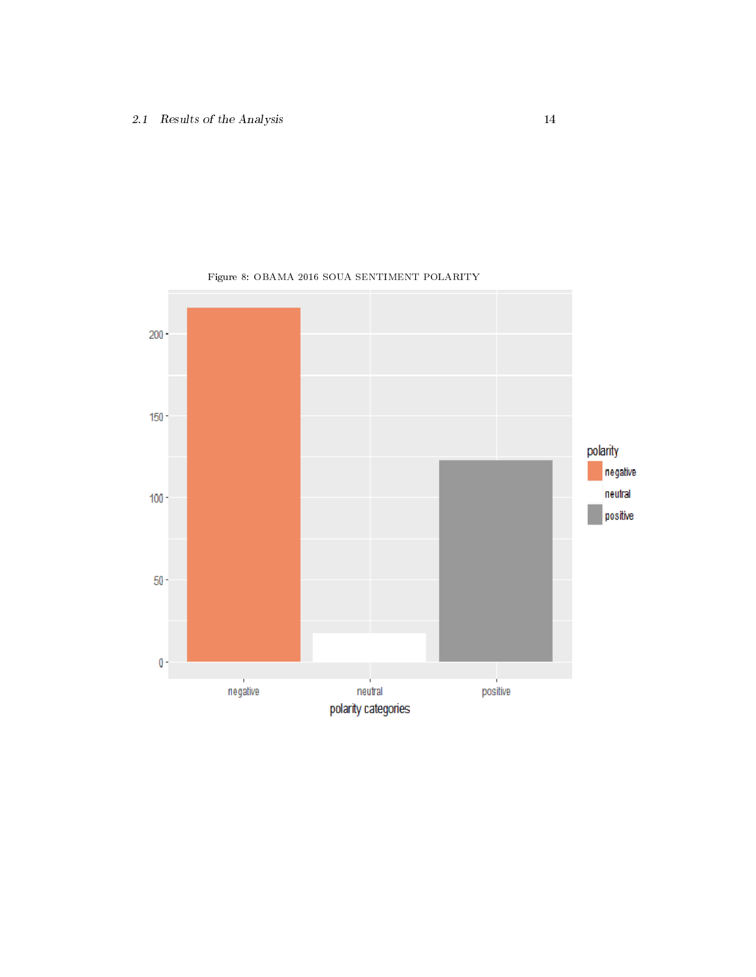

Figure 8: OBAMA 2016 SOUA SENTIMENT POLARITY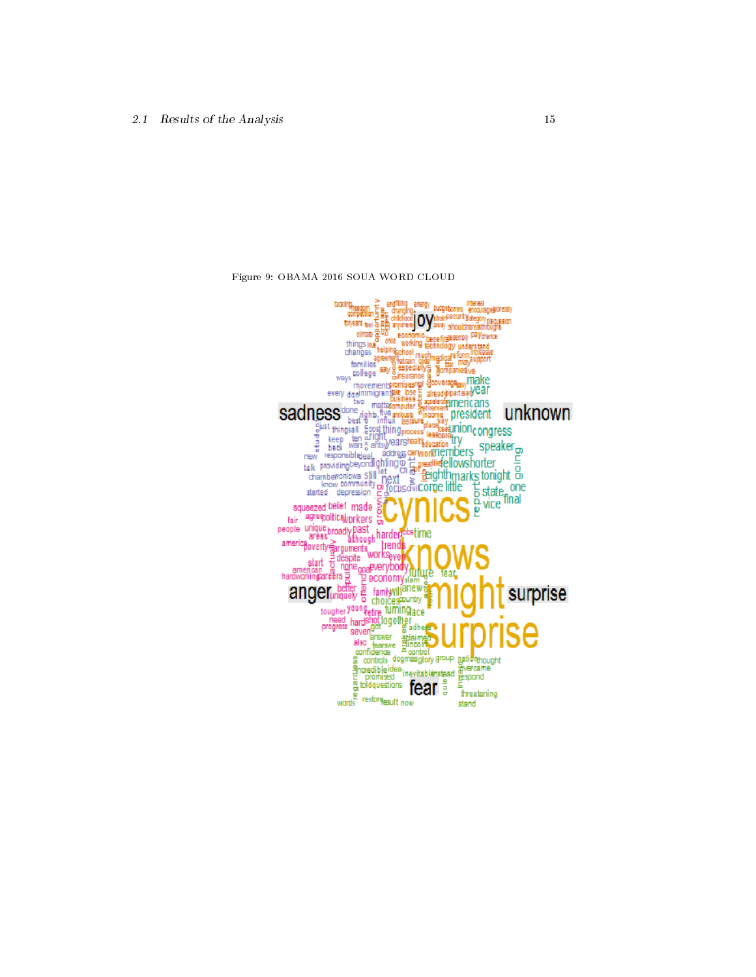

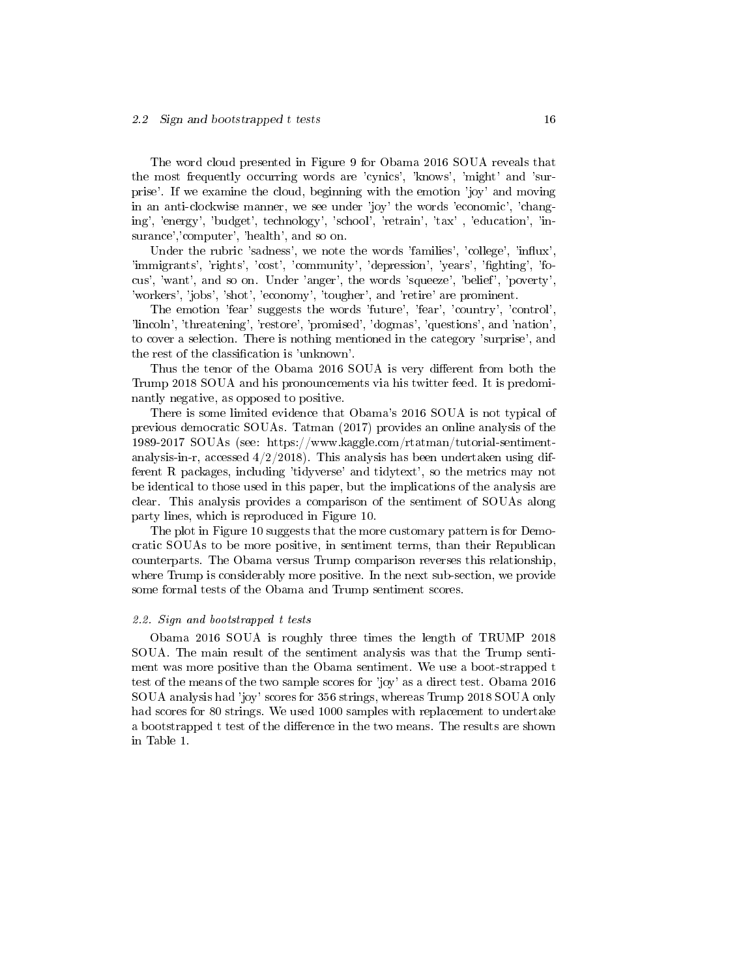The word cloud presented in Figure 9 for Obama 2016 SOUA reveals that the most frequently occurring words are 'cynics', 'knows', 'might' and 'surprise'. If we examine the cloud, beginning with the emotion 'joy' and moving in an anti-clockwise manner, we see under 'joy' the words 'economic', 'changing', 'energy', 'budget', technology', 'school', 'retrain', 'tax' , 'education', 'insurance','computer', 'health', and so on.

Under the rubric 'sadness', we note the words 'families', 'college', 'influx', 'immigrants', 'rights', 'cost', 'community', 'depression', 'years', 'fighting', 'focus', 'want', and so on. Under 'anger', the words 'squeeze', 'belief', 'poverty', 'workers', 'jobs', 'shot', 'economy', 'tougher', and 'retire' are prominent.

The emotion 'fear' suggests the words 'future', 'fear', 'country', 'control', 'lincoln', 'threatening', 'restore', 'promised', 'dogmas', 'questions', and 'nation', to cover a selection. There is nothing mentioned in the category 'surprise', and the rest of the classification is 'unknown'.

Thus the tenor of the Obama 2016 SOUA is very different from both the Trump 2018 SOUA and his pronouncements via his twitter feed. It is predominantly negative, as opposed to positive.

There is some limited evidence that Obama's 2016 SOUA is not typical of previous democratic SOUAs. Tatman (2017) provides an online analysis of the 1989-2017 SOUAs (see: https://www.kaggle.com/rtatman/tutorial-sentimentanalysis-in-r, accessed  $4/2/2018$ ). This analysis has been undertaken using different R packages, including 'tidyverse' and tidytext', so the metrics may not be identical to those used in this paper, but the implications of the analysis are clear. This analysis provides a comparison of the sentiment of SOUAs along party lines, which is reproduced in Figure 10.

The plot in Figure 10 suggests that the more customary pattern is for Democratic SOUAs to be more positive, in sentiment terms, than their Republican counterparts. The Obama versus Trump comparison reverses this relationship, where Trump is considerably more positive. In the next sub-section, we provide some formal tests of the Obama and Trump sentiment scores.

## 2.2. Sign and bootstrapped t tests

Obama 2016 SOUA is roughly three times the length of TRUMP 2018 SOUA. The main result of the sentiment analysis was that the Trump sentiment was more positive than the Obama sentiment. We use a boot-strapped t test of the means of the two sample scores for 'joy' as a direct test. Obama 2016 SOUA analysis had 'joy' scores for 356 strings, whereas Trump 2018 SOUA only had scores for 80 strings. We used 1000 samples with replacement to undertake a bootstrapped t test of the difference in the two means. The results are shown in Table 1.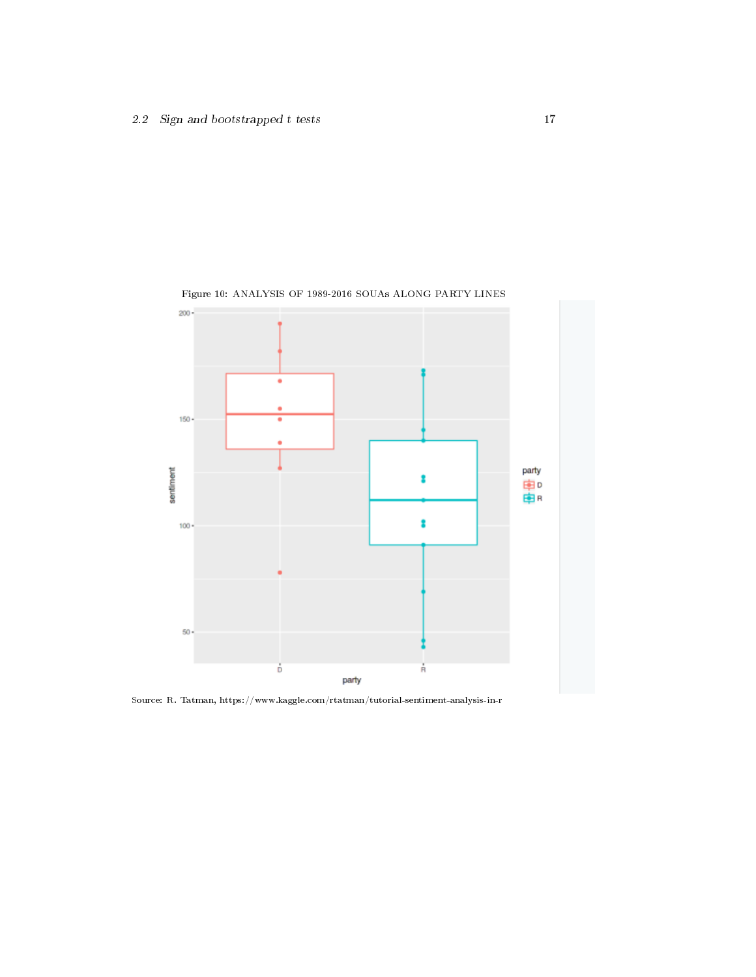

Figure 10: ANALYSIS OF 1989-2016 SOUAs ALONG PARTY LINES

Source: R. Tatman, https://www.kaggle.com/rtatman/tutorial-sentiment-analysis-in-r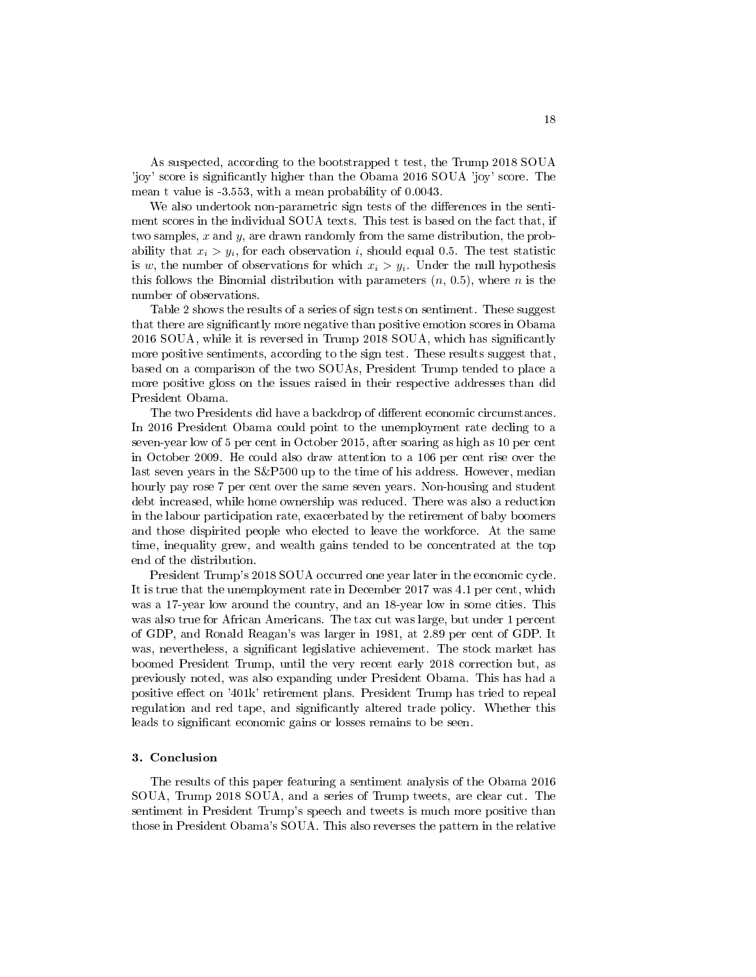As suspected, according to the bootstrapped t test, the Trump 2018 SOUA 'joy' score is signicantly higher than the Obama 2016 SOUA 'joy' score. The mean t value is -3.553, with a mean probability of 0.0043.

We also undertook non-parametric sign tests of the differences in the sentiment scores in the individual SOUA texts. This test is based on the fact that, if two samples,  $x$  and  $y$ , are drawn randomly from the same distribution, the probability that  $x_i > y_i$ , for each observation i, should equal 0.5. The test statistic is w, the number of observations for which  $x_i > y_i$ . Under the null hypothesis this follows the Binomial distribution with parameters  $(n, 0.5)$ , where n is the number of observations.

Table 2 shows the results of a series of sign tests on sentiment. These suggest that there are signicantly more negative than positive emotion scores in Obama 2016 SOUA, while it is reversed in Trump 2018 SOUA, which has signicantly more positive sentiments, according to the sign test. These results suggest that, based on a comparison of the two SOUAs, President Trump tended to place a more positive gloss on the issues raised in their respective addresses than did President Obama.

The two Presidents did have a backdrop of different economic circumstances. In 2016 President Obama could point to the unemployment rate decling to a seven-year low of 5 per cent in October 2015, after soaring as high as 10 per cent in October 2009. He could also draw attention to a 106 per cent rise over the last seven years in the S&P500 up to the time of his address. However, median hourly pay rose 7 per cent over the same seven years. Non-housing and student debt increased, while home ownership was reduced. There was also a reduction in the labour participation rate, exacerbated by the retirement of baby boomers and those dispirited people who elected to leave the workforce. At the same time, inequality grew, and wealth gains tended to be concentrated at the top end of the distribution.

President Trump's 2018 SOUA occurred one year later in the economic cycle. It is true that the unemployment rate in December 2017 was 4.1 per cent, which was a 17-year low around the country, and an 18-year low in some cities. This was also true for African Americans. The tax cut was large, but under 1 percent of GDP, and Ronald Reagan's was larger in 1981, at 2.89 per cent of GDP. It was, nevertheless, a significant legislative achievement. The stock market has boomed President Trump, until the very recent early 2018 correction but, as previously noted, was also expanding under President Obama. This has had a positive effect on '401k' retirement plans. President Trump has tried to repeal regulation and red tape, and signicantly altered trade policy. Whether this leads to significant economic gains or losses remains to be seen.

#### 3. Conclusion

The results of this paper featuring a sentiment analysis of the Obama 2016 SOUA, Trump 2018 SOUA, and a series of Trump tweets, are clear cut. The sentiment in President Trump's speech and tweets is much more positive than those in President Obama's SOUA. This also reverses the pattern in the relative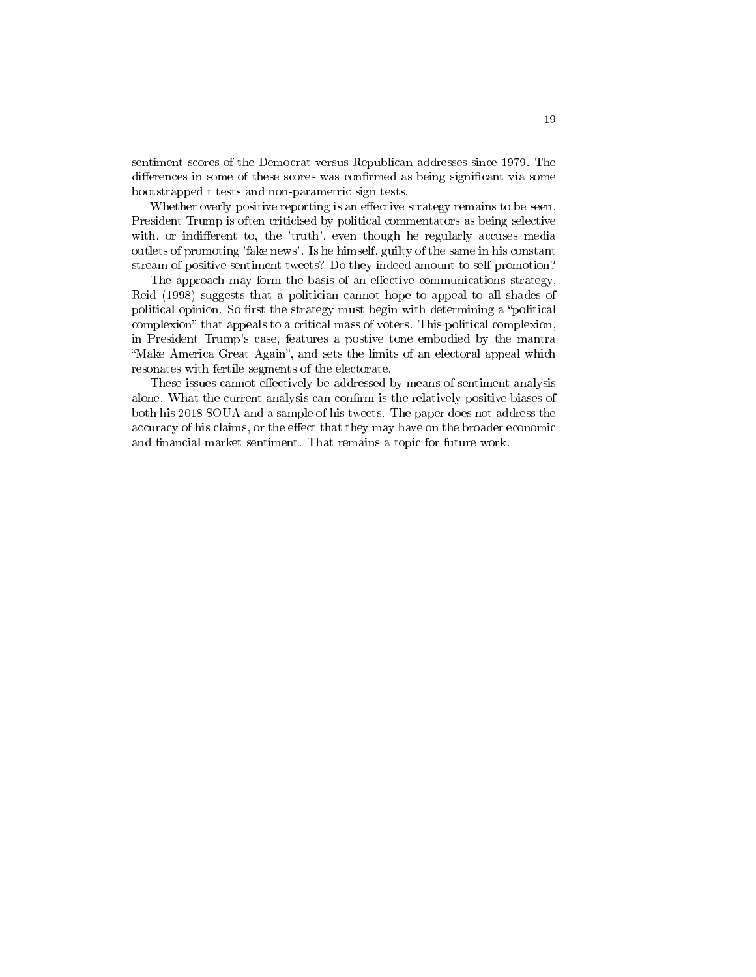sentiment scores of the Democrat versus Republican addresses since 1979. The differences in some of these scores was confirmed as being significant via some bootstrapped t tests and non-parametric sign tests.

Whether overly positive reporting is an effective strategy remains to be seen. President Trump is often criticised by political commentators as being selective with, or indifferent to, the 'truth', even though he regularly accuses media outlets of promoting 'fake news'. Is he himself, guilty of the same in his constant stream of positive sentiment tweets? Do they indeed amount to self-promotion?

The approach may form the basis of an effective communications strategy. Reid (1998) suggests that a politician cannot hope to appeal to all shades of political opinion. So first the strategy must begin with determining a "political complexion" that appeals to a critical mass of voters. This political complexion, in President Trump's case, features a postive tone embodied by the mantra "Make America Great Again", and sets the limits of an electoral appeal which resonates with fertile segments of the electorate.

These issues cannot effectively be addressed by means of sentiment analysis alone. What the current analysis can confirm is the relatively positive biases of both his 2018 SOUA and a sample of his tweets. The paper does not address the accuracy of his claims, or the effect that they may have on the broader economic and financial market sentiment. That remains a topic for future work.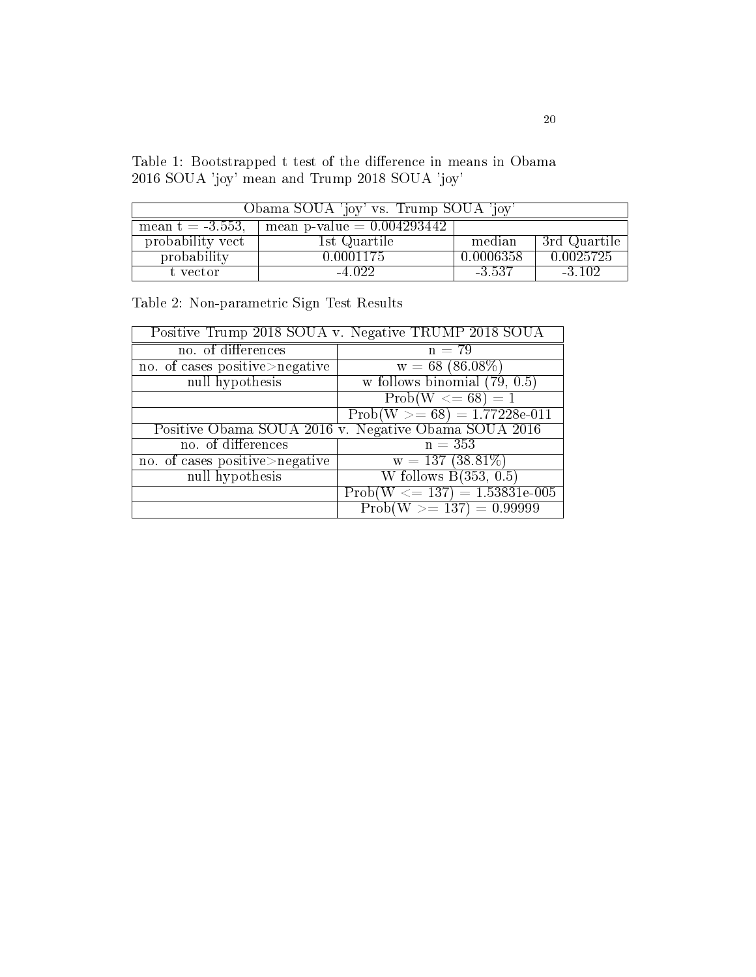Table 1: Bootstrapped t test of the difference in means in Obama 2016 SOUA 'joy' mean and Trump 2018 SOUA 'joy'

| Obama SOUA 'joy' vs. Trump SOUA 'joy' |                              |           |              |  |
|---------------------------------------|------------------------------|-----------|--------------|--|
| mean $t = -3.553$ ,                   | mean p-value $= 0.004293442$ |           |              |  |
| probability vect                      | 1st Quartile                 | median    | 3rd Quartile |  |
| probability                           | 0.0001175                    | 0.0006358 | 0.0025725    |  |
| t vector                              | -4.022                       | -3.537    | $-3.102$     |  |

20

Table 2: Non-parametric Sign Test Results

| Positive Trump 2018 SOUA v. Negative TRUMP 2018 SOUA |                                         |  |  |
|------------------------------------------------------|-----------------------------------------|--|--|
| no. of differences                                   | $\overline{n} = 79$                     |  |  |
| no. of cases positive>negative                       | $\overline{w=68~(86.08\%)}$             |  |  |
| null hypothesis                                      | w follows binomial $(79, 0.5)$          |  |  |
|                                                      | $Prob(W \le 68) = 1$                    |  |  |
|                                                      | $Prob(W > = 68) = 1.77228e-011$         |  |  |
| Positive Obama SOUA 2016 v. Negative Obama SOUA 2016 |                                         |  |  |
| no. of differences                                   | $n = 353$                               |  |  |
| no. of cases positive>negative                       | $w = 137(38.81\%)$                      |  |  |
| null hypothesis                                      | W follows $B(353, 0.5)$                 |  |  |
|                                                      | $\text{Prob}(W \le 137) = 1.53831e-005$ |  |  |
|                                                      | $Prob(W >= 137) = 0.99999$              |  |  |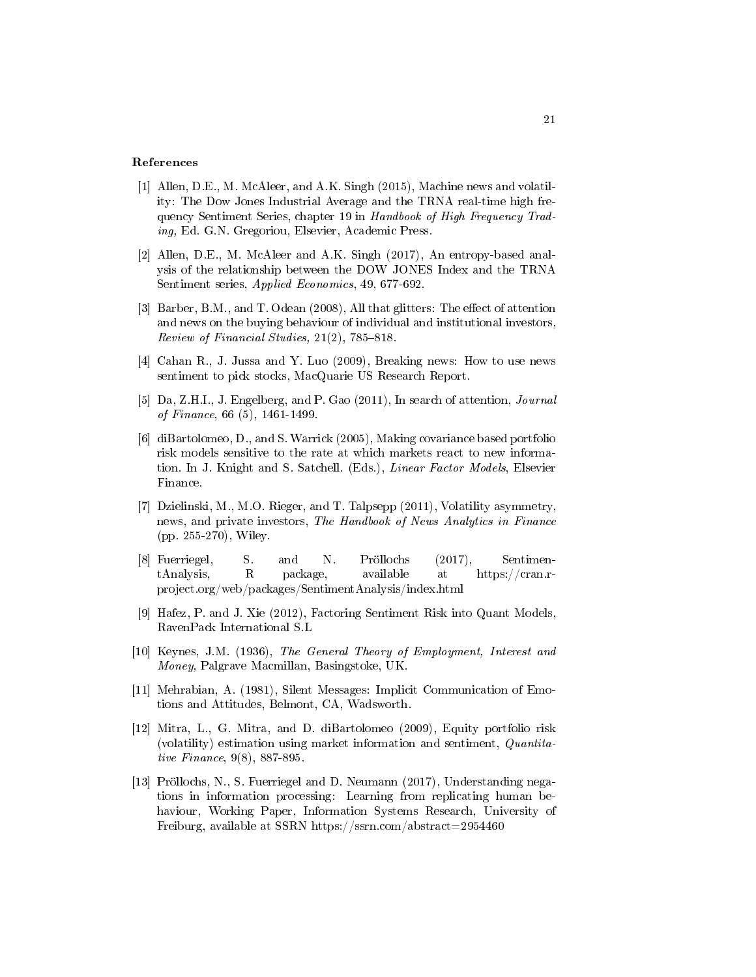## References

- [1] Allen, D.E., M. McAleer, and A.K. Singh (2015), Machine news and volatility: The Dow Jones Industrial Average and the TRNA real-time high frequency Sentiment Series, chapter 19 in Handbook of High Frequency Trading, Ed. G.N. Gregoriou, Elsevier, Academic Press.
- [2] Allen, D.E., M. McAleer and A.K. Singh (2017), An entropy-based analysis of the relationship between the DOW JONES Index and the TRNA Sentiment series, Applied Economics, 49, 677-692.
- [3] Barber, B.M., and T. Odean  $(2008)$ , All that glitters: The effect of attention and news on the buying behaviour of individual and institutional investors, Review of Financial Studies,  $21(2)$ , 785-818.
- [4] Cahan R., J. Jussa and Y. Luo (2009), Breaking news: How to use news sentiment to pick stocks, MacQuarie US Research Report.
- [5] Da, Z.H.I., J. Engelberg, and P. Gao (2011), In search of attention, Journal of Finance, 66 (5), 1461-1499.
- [6] diBartolomeo, D., and S. Warrick (2005), Making covariance based portfolio risk models sensitive to the rate at which markets react to new information. In J. Knight and S. Satchell. (Eds.), Linear Factor Models, Elsevier Finance.
- [7] Dzielinski, M., M.O. Rieger, and T. Talpsepp (2011), Volatility asymmetry, news, and private investors, The Handbook of News Analytics in Finance (pp. 255-270), Wiley.
- [8] Fuerriegel, S. and N. Pröllochs (2017), SentimentAnalysis, R package, available at https://cran.rproject.org/web/packages/SentimentAnalysis/index.html
- [9] Hafez, P. and J. Xie (2012), Factoring Sentiment Risk into Quant Models, RavenPack International S.L
- [10] Keynes, J.M. (1936), The General Theory of Employment, Interest and Money, Palgrave Macmillan, Basingstoke, UK.
- [11] Mehrabian, A. (1981), Silent Messages: Implicit Communication of Emotions and Attitudes, Belmont, CA, Wadsworth.
- [12] Mitra, L., G. Mitra, and D. diBartolomeo (2009), Equity portfolio risk (volatility) estimation using market information and sentiment, Quantitative Finance, 9(8), 887-895.
- [13] Pröllochs, N., S. Fuerriegel and D. Neumann (2017), Understanding negations in information processing: Learning from replicating human behaviour, Working Paper, Information Systems Research, University of Freiburg, available at SSRN https://ssrn.com/abstract=2954460